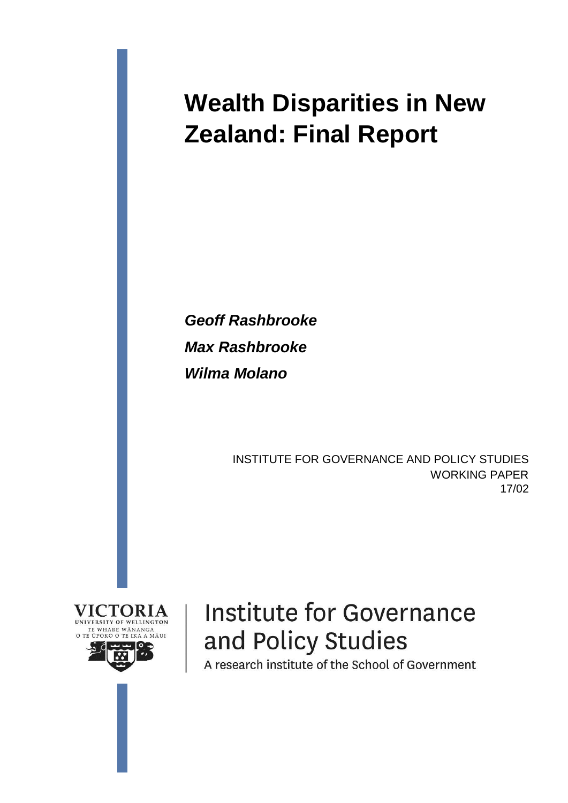# **Wealth Disparities in New Zealand: Final Report**

*Geoff Rashbrooke Max Rashbrooke Wilma Molano*

> INSTITUTE FOR GOVERNANCE AND POLICY STUDIES WORKING PAPER 17/02



# **Institute for Governance** and Policy Studies

A research institute of the School of Government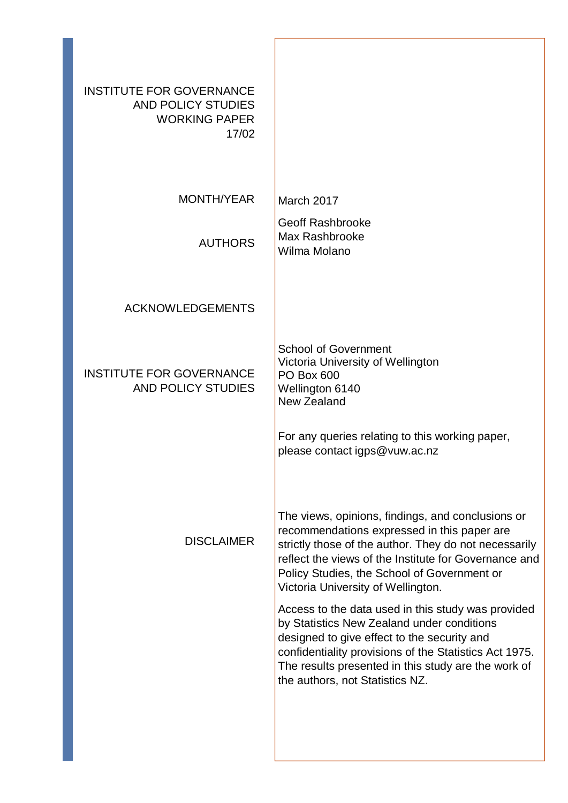| <b>INSTITUTE FOR GOVERNANCE</b><br>AND POLICY STUDIES<br><b>WORKING PAPER</b><br>17/02 |                                                                                                                                                                                                                                                                                                         |
|----------------------------------------------------------------------------------------|---------------------------------------------------------------------------------------------------------------------------------------------------------------------------------------------------------------------------------------------------------------------------------------------------------|
| <b>MONTH/YEAR</b>                                                                      | March 2017                                                                                                                                                                                                                                                                                              |
| <b>AUTHORS</b>                                                                         | <b>Geoff Rashbrooke</b><br>Max Rashbrooke<br>Wilma Molano                                                                                                                                                                                                                                               |
| <b>ACKNOWLEDGEMENTS</b>                                                                |                                                                                                                                                                                                                                                                                                         |
| <b>INSTITUTE FOR GOVERNANCE</b><br><b>AND POLICY STUDIES</b>                           | <b>School of Government</b><br>Victoria University of Wellington<br><b>PO Box 600</b><br>Wellington 6140<br>New Zealand                                                                                                                                                                                 |
|                                                                                        | For any queries relating to this working paper,<br>please contact igps@vuw.ac.nz                                                                                                                                                                                                                        |
| <b>DISCLAIMER</b>                                                                      | The views, opinions, findings, and conclusions or<br>recommendations expressed in this paper are<br>strictly those of the author. They do not necessarily<br>reflect the views of the Institute for Governance and<br>Policy Studies, the School of Government or<br>Victoria University of Wellington. |
|                                                                                        | Access to the data used in this study was provided<br>by Statistics New Zealand under conditions<br>designed to give effect to the security and<br>confidentiality provisions of the Statistics Act 1975.<br>The results presented in this study are the work of<br>the authors, not Statistics NZ.     |
|                                                                                        |                                                                                                                                                                                                                                                                                                         |

ſ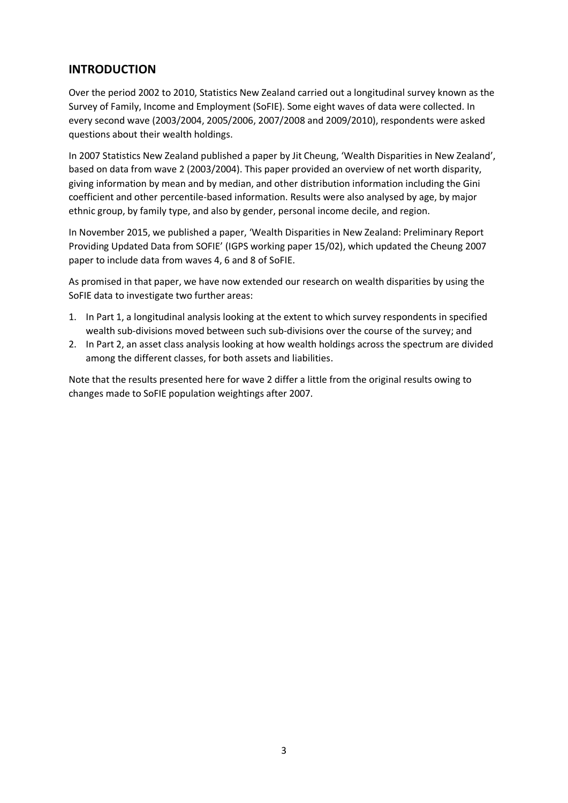## **INTRODUCTION**

Over the period 2002 to 2010, Statistics New Zealand carried out a longitudinal survey known as the Survey of Family, Income and Employment (SoFIE). Some eight waves of data were collected. In every second wave (2003/2004, 2005/2006, 2007/2008 and 2009/2010), respondents were asked questions about their wealth holdings.

In 2007 Statistics New Zealand published a paper by Jit Cheung, 'Wealth Disparities in New Zealand', based on data from wave 2 (2003/2004). This paper provided an overview of net worth disparity, giving information by mean and by median, and other distribution information including the Gini coefficient and other percentile-based information. Results were also analysed by age, by major ethnic group, by family type, and also by gender, personal income decile, and region.

In November 2015, we published a paper, 'Wealth Disparities in New Zealand: Preliminary Report Providing Updated Data from SOFIE' (IGPS working paper 15/02), which updated the Cheung 2007 paper to include data from waves 4, 6 and 8 of SoFIE.

As promised in that paper, we have now extended our research on wealth disparities by using the SoFIE data to investigate two further areas:

- 1. In Part 1, a longitudinal analysis looking at the extent to which survey respondents in specified wealth sub-divisions moved between such sub-divisions over the course of the survey; and
- 2. In Part 2, an asset class analysis looking at how wealth holdings across the spectrum are divided among the different classes, for both assets and liabilities.

Note that the results presented here for wave 2 differ a little from the original results owing to changes made to SoFIE population weightings after 2007.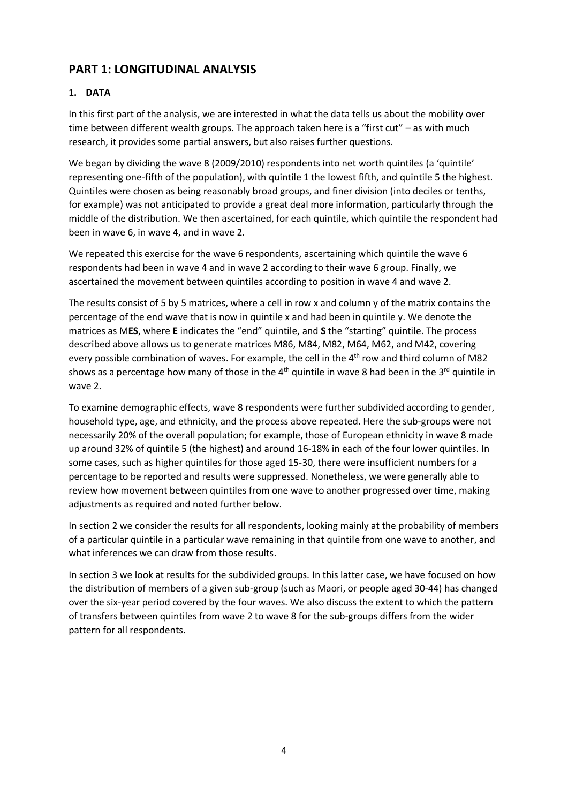# **PART 1: LONGITUDINAL ANALYSIS**

## **1. DATA**

In this first part of the analysis, we are interested in what the data tells us about the mobility over time between different wealth groups. The approach taken here is a "first cut" – as with much research, it provides some partial answers, but also raises further questions.

We began by dividing the wave 8 (2009/2010) respondents into net worth quintiles (a 'quintile' representing one-fifth of the population), with quintile 1 the lowest fifth, and quintile 5 the highest. Quintiles were chosen as being reasonably broad groups, and finer division (into deciles or tenths, for example) was not anticipated to provide a great deal more information, particularly through the middle of the distribution. We then ascertained, for each quintile, which quintile the respondent had been in wave 6, in wave 4, and in wave 2.

We repeated this exercise for the wave 6 respondents, ascertaining which quintile the wave 6 respondents had been in wave 4 and in wave 2 according to their wave 6 group. Finally, we ascertained the movement between quintiles according to position in wave 4 and wave 2.

The results consist of 5 by 5 matrices, where a cell in row x and column y of the matrix contains the percentage of the end wave that is now in quintile x and had been in quintile y. We denote the matrices as M**ES**, where **E** indicates the "end" quintile, and **S** the "starting" quintile. The process described above allows us to generate matrices M86, M84, M82, M64, M62, and M42, covering every possible combination of waves. For example, the cell in the 4<sup>th</sup> row and third column of M82 shows as a percentage how many of those in the 4<sup>th</sup> quintile in wave 8 had been in the 3<sup>rd</sup> quintile in wave 2.

To examine demographic effects, wave 8 respondents were further subdivided according to gender, household type, age, and ethnicity, and the process above repeated. Here the sub-groups were not necessarily 20% of the overall population; for example, those of European ethnicity in wave 8 made up around 32% of quintile 5 (the highest) and around 16-18% in each of the four lower quintiles. In some cases, such as higher quintiles for those aged 15-30, there were insufficient numbers for a percentage to be reported and results were suppressed. Nonetheless, we were generally able to review how movement between quintiles from one wave to another progressed over time, making adjustments as required and noted further below.

In section 2 we consider the results for all respondents, looking mainly at the probability of members of a particular quintile in a particular wave remaining in that quintile from one wave to another, and what inferences we can draw from those results.

In section 3 we look at results for the subdivided groups. In this latter case, we have focused on how the distribution of members of a given sub-group (such as Maori, or people aged 30-44) has changed over the six-year period covered by the four waves. We also discuss the extent to which the pattern of transfers between quintiles from wave 2 to wave 8 for the sub-groups differs from the wider pattern for all respondents.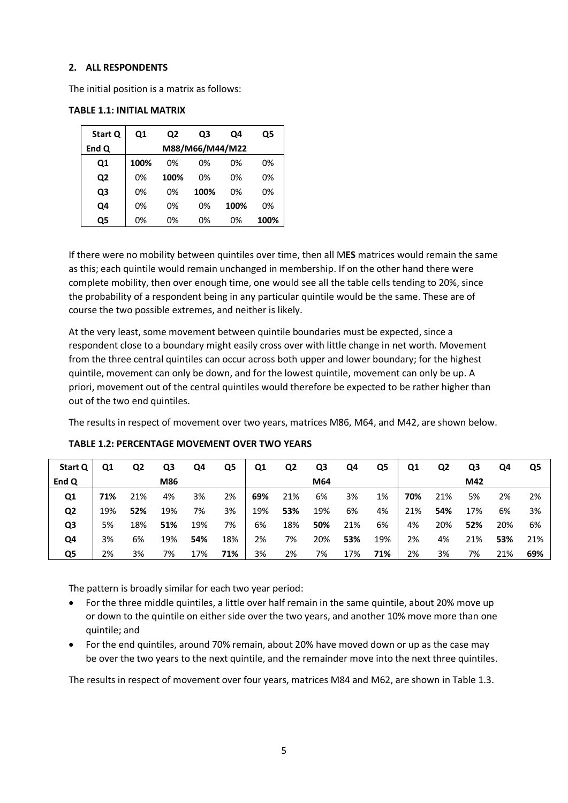## **2. ALL RESPONDENTS**

The initial position is a matrix as follows:

| Start Q | Q1   | Q2              | Q3   | Q4   | Q5   |  |  |  |  |
|---------|------|-----------------|------|------|------|--|--|--|--|
| End Q   |      | M88/M66/M44/M22 |      |      |      |  |  |  |  |
| Q1      | 100% | 0%              | 0%   | 0%   | 0%   |  |  |  |  |
| Q2      | 0%   | 100%            | 0%   | 0%   | 0%   |  |  |  |  |
| Q3      | 0%   | 0%              | 100% | 0%   | 0%   |  |  |  |  |
| Q4      | 0%   | 0%              | 0%   | 100% | 0%   |  |  |  |  |
| Ο5      | 0%   | 0%              | 0%   | 0%   | 100% |  |  |  |  |

## **TABLE 1.1: INITIAL MATRIX**

If there were no mobility between quintiles over time, then all M**ES** matrices would remain the same as this; each quintile would remain unchanged in membership. If on the other hand there were complete mobility, then over enough time, one would see all the table cells tending to 20%, since the probability of a respondent being in any particular quintile would be the same. These are of course the two possible extremes, and neither is likely.

At the very least, some movement between quintile boundaries must be expected, since a respondent close to a boundary might easily cross over with little change in net worth. Movement from the three central quintiles can occur across both upper and lower boundary; for the highest quintile, movement can only be down, and for the lowest quintile, movement can only be up. A priori, movement out of the central quintiles would therefore be expected to be rather higher than out of the two end quintiles.

The results in respect of movement over two years, matrices M86, M64, and M42, are shown below.

| Start Q        | Ο1  | Q2  | Q3  | Q4  | Q5  | Q1  | Q2  | Q3  | Q4  | Q5  | Q1  | Q2  | Q3  | Q4  | Q5  |
|----------------|-----|-----|-----|-----|-----|-----|-----|-----|-----|-----|-----|-----|-----|-----|-----|
| End Q          |     |     | M86 |     |     |     |     | M64 |     |     |     |     | M42 |     |     |
| Q1             | 71% | 21% | 4%  | 3%  | 2%  | 69% | 21% | 6%  | 3%  | 1%  | 70% | 21% | 5%  | 2%  | 2%  |
| Q <sub>2</sub> | 19% | 52% | 19% | 7%  | 3%  | 19% | 53% | 19% | 6%  | 4%  | 21% | 54% | 17% | 6%  | 3%  |
| Q3             | 5%  | 18% | 51% | 19% | 7%  | 6%  | 18% | 50% | 21% | 6%  | 4%  | 20% | 52% | 20% | 6%  |
| Q4             | 3%  | 6%  | 19% | 54% | 18% | 2%  | 7%  | 20% | 53% | 19% | 2%  | 4%  | 21% | 53% | 21% |
| Q5             | 2%  | 3%  | 7%  | 17% | 71% | 3%  | 2%  | 7%  | 17% | 71% | 2%  | 3%  | 7%  | 21% | 69% |

## **TABLE 1.2: PERCENTAGE MOVEMENT OVER TWO YEARS**

The pattern is broadly similar for each two year period:

- For the three middle quintiles, a little over half remain in the same quintile, about 20% move up or down to the quintile on either side over the two years, and another 10% move more than one quintile; and
- For the end quintiles, around 70% remain, about 20% have moved down or up as the case may be over the two years to the next quintile, and the remainder move into the next three quintiles.

The results in respect of movement over four years, matrices M84 and M62, are shown in Table 1.3.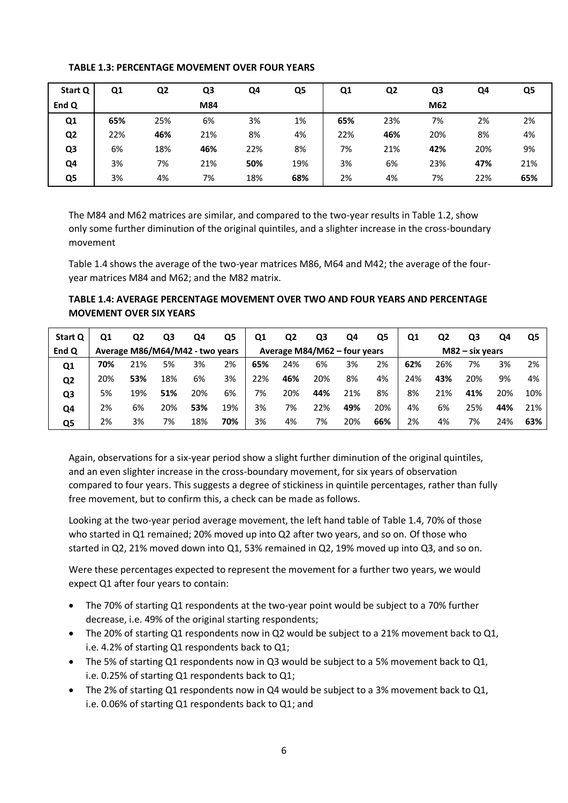| Start Q        | Q1  | Q <sub>2</sub> | Q <sub>3</sub> | Q4  | Q5  | Q <sub>1</sub> | Q <sub>2</sub> | Q3  | Q4  | Q5  |
|----------------|-----|----------------|----------------|-----|-----|----------------|----------------|-----|-----|-----|
| End Q          |     |                | M84            |     |     |                |                | M62 |     |     |
| Q1             | 65% | 25%            | 6%             | 3%  | 1%  | 65%            | 23%            | 7%  | 2%  | 2%  |
| Q <sub>2</sub> | 22% | 46%            | 21%            | 8%  | 4%  | 22%            | 46%            | 20% | 8%  | 4%  |
| Q <sub>3</sub> | 6%  | 18%            | 46%            | 22% | 8%  | 7%             | 21%            | 42% | 20% | 9%  |
| Q4             | 3%  | 7%             | 21%            | 50% | 19% | 3%             | 6%             | 23% | 47% | 21% |
| Q5             | 3%  | 4%             | 7%             | 18% | 68% | 2%             | 4%             | 7%  | 22% | 65% |

## **TABLE 1.3: PERCENTAGE MOVEMENT OVER FOUR YEARS**

The M84 and M62 matrices are similar, and compared to the two-year results in Table 1.2, show only some further diminution of the original quintiles, and a slighter increase in the cross-boundary movement

Table 1.4 shows the average of the two-year matrices M86, M64 and M42; the average of the fouryear matrices M84 and M62; and the M82 matrix.

**TABLE 1.4: AVERAGE PERCENTAGE MOVEMENT OVER TWO AND FOUR YEARS AND PERCENTAGE MOVEMENT OVER SIX YEARS**

| Start Q        | Q1                              | Q2  | Q3  | Q4                           | Q5  | Q1  | Q2  | Q3                | Q4  | Q5  | Q <sub>1</sub> | Q2  | Q3  | Q4  | Q5  |
|----------------|---------------------------------|-----|-----|------------------------------|-----|-----|-----|-------------------|-----|-----|----------------|-----|-----|-----|-----|
| End Q          | Average M86/M64/M42 - two years |     |     | Average M84/M62 - four years |     |     |     | $M82$ – six years |     |     |                |     |     |     |     |
| Q1             | 70%                             | 21% | 5%  | 3%                           | 2%  | 65% | 24% | 6%                | 3%  | 2%  | 62%            | 26% | 7%  | 3%  | 2%  |
| Q <sub>2</sub> | 20%                             | 53% | 18% | 6%                           | 3%  | 22% | 46% | 20%               | 8%  | 4%  | 24%            | 43% | 20% | 9%  | 4%  |
| Q3             | 5%                              | 19% | 51% | 20%                          | 6%  | 7%  | 20% | 44%               | 21% | 8%  | 8%             | 21% | 41% | 20% | 10% |
| Q4             | 2%                              | 6%  | 20% | 53%                          | 19% | 3%  | 7%  | 22%               | 49% | 20% | 4%             | 6%  | 25% | 44% | 21% |
| Q5             | 2%                              | 3%  | 7%  | 18%                          | 70% | 3%  | 4%  | 7%                | 20% | 66% | 2%             | 4%  | 7%  | 24% | 63% |

Again, observations for a six-year period show a slight further diminution of the original quintiles, and an even slighter increase in the cross-boundary movement, for six years of observation compared to four years. This suggests a degree of stickiness in quintile percentages, rather than fully free movement, but to confirm this, a check can be made as follows.

Looking at the two-year period average movement, the left hand table of Table 1.4, 70% of those who started in Q1 remained; 20% moved up into Q2 after two years, and so on. Of those who started in Q2, 21% moved down into Q1, 53% remained in Q2, 19% moved up into Q3, and so on.

Were these percentages expected to represent the movement for a further two years, we would expect Q1 after four years to contain:

- The 70% of starting Q1 respondents at the two-year point would be subject to a 70% further decrease, i.e. 49% of the original starting respondents;
- The 20% of starting Q1 respondents now in Q2 would be subject to a 21% movement back to Q1, i.e. 4.2% of starting Q1 respondents back to Q1;
- The 5% of starting Q1 respondents now in Q3 would be subject to a 5% movement back to Q1, i.e. 0.25% of starting Q1 respondents back to Q1;
- The 2% of starting Q1 respondents now in Q4 would be subject to a 3% movement back to Q1, i.e. 0.06% of starting Q1 respondents back to Q1; and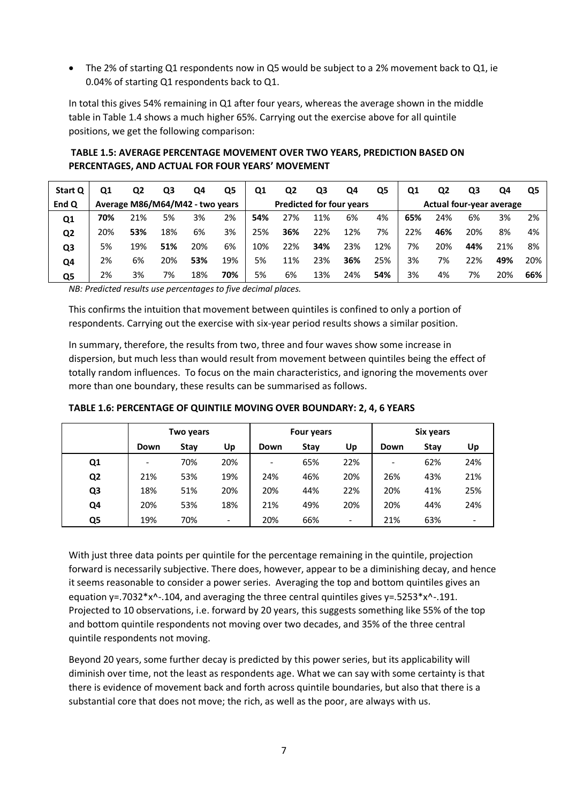The 2% of starting Q1 respondents now in Q5 would be subject to a 2% movement back to Q1, ie 0.04% of starting Q1 respondents back to Q1.

In total this gives 54% remaining in Q1 after four years, whereas the average shown in the middle table in Table 1.4 shows a much higher 65%. Carrying out the exercise above for all quintile positions, we get the following comparison:

**Start Q Q1 Q2 Q3 Q4 Q5 Q1 Q2 Q3 Q4 Q5 Q1 Q2 Q3 Q4 Q5 End Q Average M86/M64/M42 - two years Predicted for four years Actual four-year average Q1 70%** 21% 5% 3% 2% **54%** 27% 11% 6% 4% **65%** 24% 6% 3% 2% **Q2** 20% **53%** 18% 6% 3% 25% **36%** 22% 12% 7% 22% **46%** 20% 8% 4% **Q3** 5% 19% **51%** 20% 6% 10% 22% **34%** 23% 12% 7% 20% **44%** 21% 8% **Q4** 2% 6% 20% **53%** 19% 5% 11% 23% **36%** 25% 3% 7% 22% **49%** 20% **Q5** 2% 3% 7% 18% **70%** 5% 6% 13% 24% **54%** 3% 4% 7% 20% **66%**

**TABLE 1.5: AVERAGE PERCENTAGE MOVEMENT OVER TWO YEARS, PREDICTION BASED ON PERCENTAGES, AND ACTUAL FOR FOUR YEARS' MOVEMENT** 

*NB: Predicted results use percentages to five decimal places.*

This confirms the intuition that movement between quintiles is confined to only a portion of respondents. Carrying out the exercise with six-year period results shows a similar position.

In summary, therefore, the results from two, three and four waves show some increase in dispersion, but much less than would result from movement between quintiles being the effect of totally random influences. To focus on the main characteristics, and ignoring the movements over more than one boundary, these results can be summarised as follows.

|                | Two years |      |     |                          | <b>Four years</b> |                          |                          | Six years |     |  |
|----------------|-----------|------|-----|--------------------------|-------------------|--------------------------|--------------------------|-----------|-----|--|
|                | Down      | Stav | Up  | Down                     | <b>Stav</b>       | Up                       | Down                     | Stay      | Up  |  |
| Q1             | ۰         | 70%  | 20% | $\overline{\phantom{a}}$ | 65%               | 22%                      | $\overline{\phantom{a}}$ | 62%       | 24% |  |
| Q <sub>2</sub> | 21%       | 53%  | 19% | 24%                      | 46%               | 20%                      | 26%                      | 43%       | 21% |  |
| Q3             | 18%       | 51%  | 20% | 20%                      | 44%               | 22%                      | 20%                      | 41%       | 25% |  |
| Q4             | 20%       | 53%  | 18% | 21%                      | 49%               | 20%                      | 20%                      | 44%       | 24% |  |
| Q5             | 19%       | 70%  | -   | 20%                      | 66%               | $\overline{\phantom{a}}$ | 21%                      | 63%       | -   |  |

**TABLE 1.6: PERCENTAGE OF QUINTILE MOVING OVER BOUNDARY: 2, 4, 6 YEARS**

With just three data points per quintile for the percentage remaining in the quintile, projection forward is necessarily subjective. There does, however, appear to be a diminishing decay, and hence it seems reasonable to consider a power series. Averaging the top and bottom quintiles gives an equation  $y = .7032*x^2$ -.104, and averaging the three central quintiles gives  $y = .5253*x^2$ -.191. Projected to 10 observations, i.e. forward by 20 years, this suggests something like 55% of the top and bottom quintile respondents not moving over two decades, and 35% of the three central quintile respondents not moving.

Beyond 20 years, some further decay is predicted by this power series, but its applicability will diminish over time, not the least as respondents age. What we can say with some certainty is that there is evidence of movement back and forth across quintile boundaries, but also that there is a substantial core that does not move; the rich, as well as the poor, are always with us.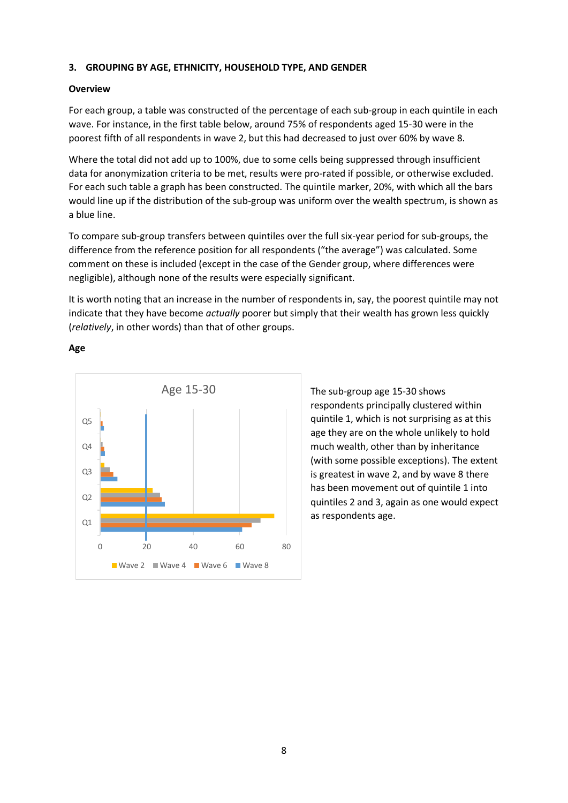## **3. GROUPING BY AGE, ETHNICITY, HOUSEHOLD TYPE, AND GENDER**

## **Overview**

For each group, a table was constructed of the percentage of each sub-group in each quintile in each wave. For instance, in the first table below, around 75% of respondents aged 15-30 were in the poorest fifth of all respondents in wave 2, but this had decreased to just over 60% by wave 8.

Where the total did not add up to 100%, due to some cells being suppressed through insufficient data for anonymization criteria to be met, results were pro-rated if possible, or otherwise excluded. For each such table a graph has been constructed. The quintile marker, 20%, with which all the bars would line up if the distribution of the sub-group was uniform over the wealth spectrum, is shown as a blue line.

To compare sub-group transfers between quintiles over the full six-year period for sub-groups, the difference from the reference position for all respondents ("the average") was calculated. Some comment on these is included (except in the case of the Gender group, where differences were negligible), although none of the results were especially significant.

It is worth noting that an increase in the number of respondents in, say, the poorest quintile may not indicate that they have become *actually* poorer but simply that their wealth has grown less quickly (*relatively*, in other words) than that of other groups.



## **Age**

The sub-group age 15-30 shows respondents principally clustered within quintile 1, which is not surprising as at this age they are on the whole unlikely to hold much wealth, other than by inheritance (with some possible exceptions). The extent is greatest in wave 2, and by wave 8 there has been movement out of quintile 1 into quintiles 2 and 3, again as one would expect as respondents age.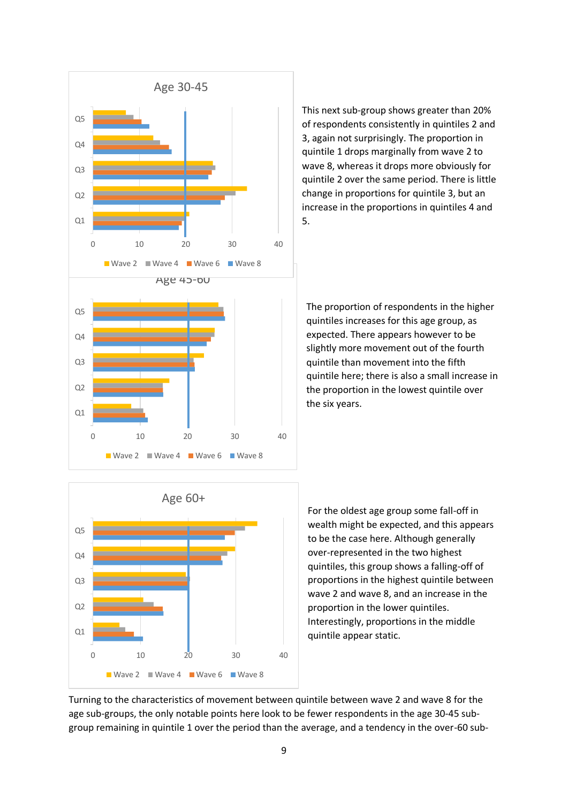

This next sub-group shows greater than 20% of respondents consistently in quintiles 2 and 3, again not surprisingly. The proportion in quintile 1 drops marginally from wave 2 to wave 8, whereas it drops more obviously for quintile 2 over the same period. There is little change in proportions for quintile 3, but an increase in the proportions in quintiles 4 and 5.

The proportion of respondents in the higher quintiles increases for this age group, as expected. There appears however to be slightly more movement out of the fourth quintile than movement into the fifth quintile here; there is also a small increase in the proportion in the lowest quintile over the six years.



For the oldest age group some fall-off in wealth might be expected, and this appears to be the case here. Although generally over-represented in the two highest quintiles, this group shows a falling-off of proportions in the highest quintile between wave 2 and wave 8, and an increase in the proportion in the lower quintiles. Interestingly, proportions in the middle quintile appear static.

Turning to the characteristics of movement between quintile between wave 2 and wave 8 for the age sub-groups, the only notable points here look to be fewer respondents in the age 30-45 subgroup remaining in quintile 1 over the period than the average, and a tendency in the over-60 sub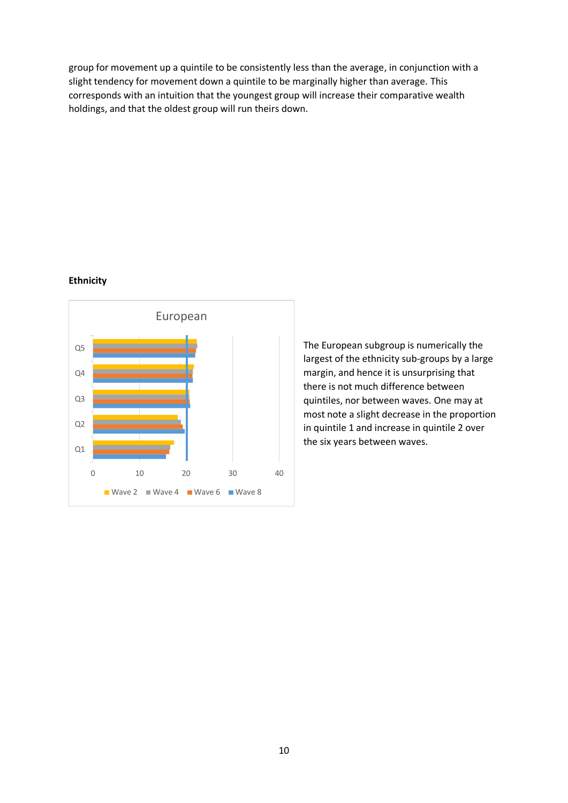group for movement up a quintile to be consistently less than the average, in conjunction with a slight tendency for movement down a quintile to be marginally higher than average. This corresponds with an intuition that the youngest group will increase their comparative wealth holdings, and that the oldest group will run theirs down.

#### **Ethnicity**



The European subgroup is numerically the largest of the ethnicity sub-groups by a large margin, and hence it is unsurprising that there is not much difference between quintiles, nor between waves. One may at most note a slight decrease in the proportion in quintile 1 and increase in quintile 2 over the six years between waves.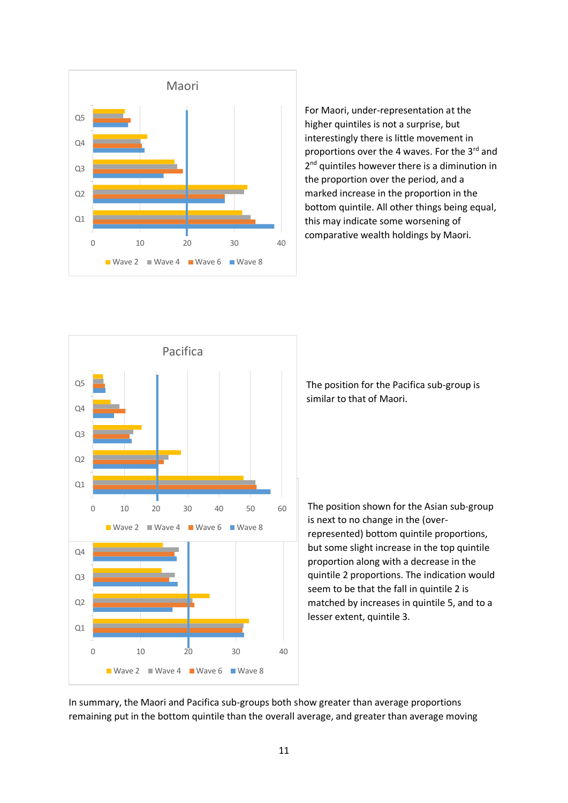

For Maori, under-representation at the higher quintiles is not a surprise, but interestingly there is little movement in proportions over the 4 waves. For the 3rd and 2<sup>nd</sup> quintiles however there is a diminution in the proportion over the period, and a marked increase in the proportion in the bottom quintile. All other things being equal, this may indicate some worsening of comparative wealth holdings by Maori.



The position for the Pacifica sub-group is similar to that of Maori.

The position shown for the Asian sub-group is next to no change in the (overrepresented) bottom quintile proportions, but some slight increase in the top quintile proportion along with a decrease in the quintile 2 proportions. The indication would seem to be that the fall in quintile 2 is matched by increases in quintile 5, and to a lesser extent, quintile 3.

In summary, the Maori and Pacifica sub-groups both show greater than average proportions remaining put in the bottom quintile than the overall average, and greater than average moving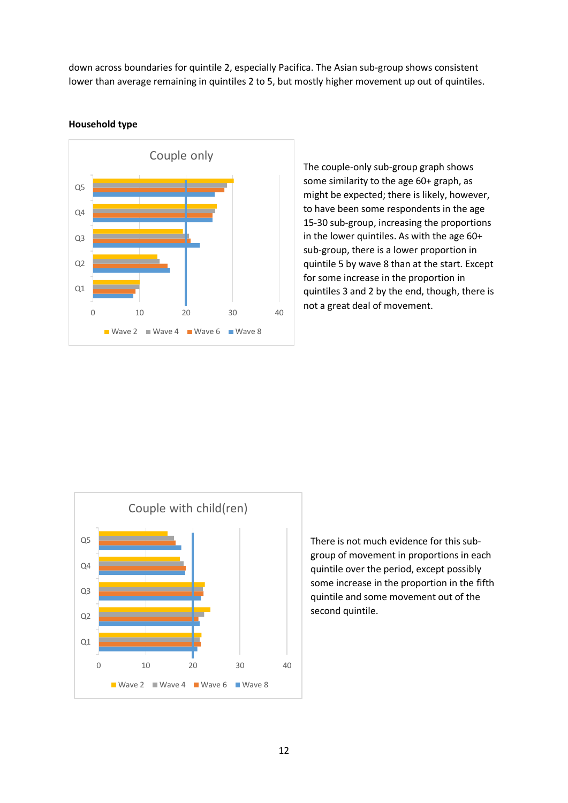down across boundaries for quintile 2, especially Pacifica. The Asian sub-group shows consistent lower than average remaining in quintiles 2 to 5, but mostly higher movement up out of quintiles.



#### **Household type**

The couple-only sub-group graph shows some similarity to the age 60+ graph, as might be expected; there is likely, however, to have been some respondents in the age 15-30 sub-group, increasing the proportions in the lower quintiles. As with the age 60+ sub-group, there is a lower proportion in quintile 5 by wave 8 than at the start. Except for some increase in the proportion in quintiles 3 and 2 by the end, though, there is not a great deal of movement.



There is not much evidence for this subgroup of movement in proportions in each quintile over the period, except possibly some increase in the proportion in the fifth quintile and some movement out of the second quintile.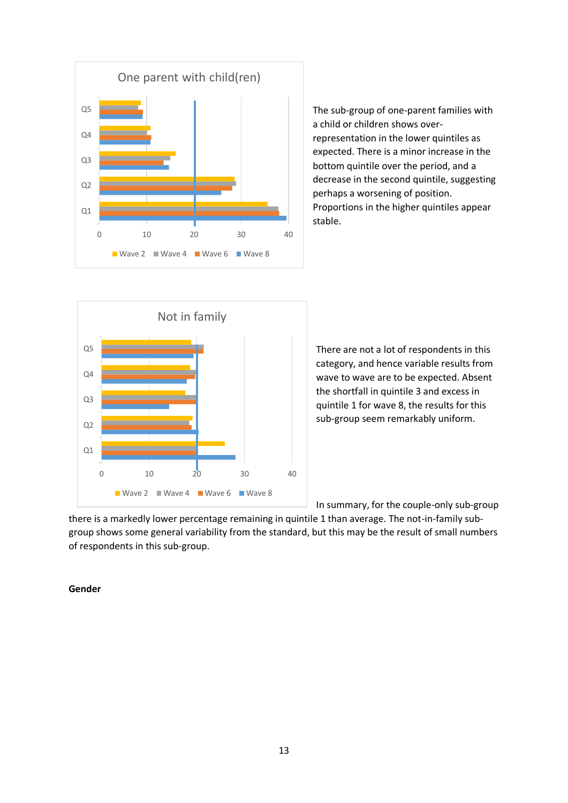

The sub-group of one-parent families with a child or children shows overrepresentation in the lower quintiles as expected. There is a minor increase in the bottom quintile over the period, and a decrease in the second quintile, suggesting perhaps a worsening of position. Proportions in the higher quintiles appear stable.



There are not a lot of respondents in this category, and hence variable results from wave to wave are to be expected. Absent the shortfall in quintile 3 and excess in quintile 1 for wave 8, the results for this sub-group seem remarkably uniform.

In summary, for the couple-only sub-group

there is a markedly lower percentage remaining in quintile 1 than average. The not-in-family subgroup shows some general variability from the standard, but this may be the result of small numbers of respondents in this sub-group.

## **Gender**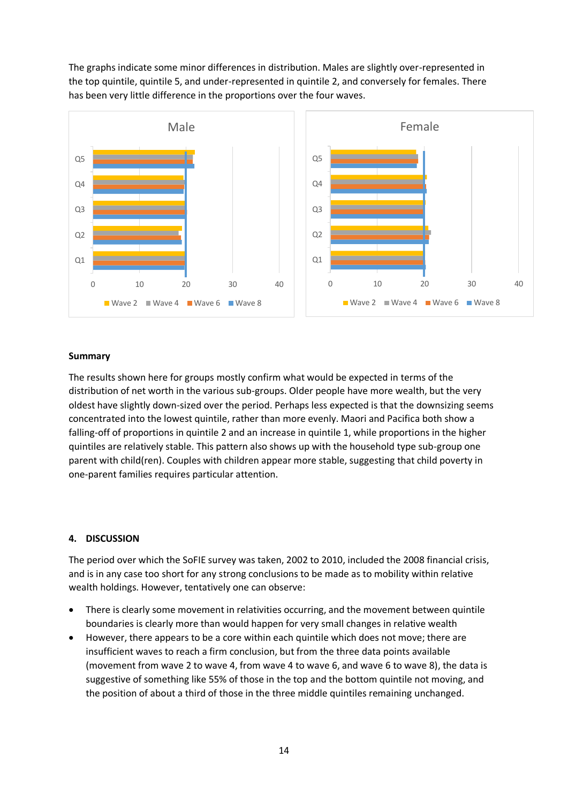The graphs indicate some minor differences in distribution. Males are slightly over-represented in the top quintile, quintile 5, and under-represented in quintile 2, and conversely for females. There has been very little difference in the proportions over the four waves.



#### **Summary**

The results shown here for groups mostly confirm what would be expected in terms of the distribution of net worth in the various sub-groups. Older people have more wealth, but the very oldest have slightly down-sized over the period. Perhaps less expected is that the downsizing seems concentrated into the lowest quintile, rather than more evenly. Maori and Pacifica both show a falling-off of proportions in quintile 2 and an increase in quintile 1, while proportions in the higher quintiles are relatively stable. This pattern also shows up with the household type sub-group one parent with child(ren). Couples with children appear more stable, suggesting that child poverty in one-parent families requires particular attention.

## **4. DISCUSSION**

The period over which the SoFIE survey was taken, 2002 to 2010, included the 2008 financial crisis, and is in any case too short for any strong conclusions to be made as to mobility within relative wealth holdings. However, tentatively one can observe:

- There is clearly some movement in relativities occurring, and the movement between quintile boundaries is clearly more than would happen for very small changes in relative wealth
- However, there appears to be a core within each quintile which does not move; there are insufficient waves to reach a firm conclusion, but from the three data points available (movement from wave 2 to wave 4, from wave 4 to wave 6, and wave 6 to wave 8), the data is suggestive of something like 55% of those in the top and the bottom quintile not moving, and the position of about a third of those in the three middle quintiles remaining unchanged.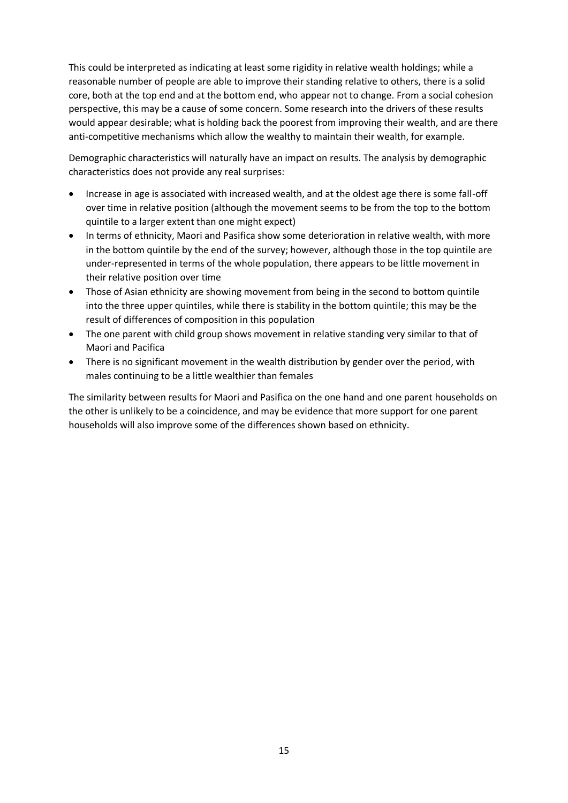This could be interpreted as indicating at least some rigidity in relative wealth holdings; while a reasonable number of people are able to improve their standing relative to others, there is a solid core, both at the top end and at the bottom end, who appear not to change. From a social cohesion perspective, this may be a cause of some concern. Some research into the drivers of these results would appear desirable; what is holding back the poorest from improving their wealth, and are there anti-competitive mechanisms which allow the wealthy to maintain their wealth, for example.

Demographic characteristics will naturally have an impact on results. The analysis by demographic characteristics does not provide any real surprises:

- Increase in age is associated with increased wealth, and at the oldest age there is some fall-off over time in relative position (although the movement seems to be from the top to the bottom quintile to a larger extent than one might expect)
- In terms of ethnicity, Maori and Pasifica show some deterioration in relative wealth, with more in the bottom quintile by the end of the survey; however, although those in the top quintile are under-represented in terms of the whole population, there appears to be little movement in their relative position over time
- Those of Asian ethnicity are showing movement from being in the second to bottom quintile into the three upper quintiles, while there is stability in the bottom quintile; this may be the result of differences of composition in this population
- The one parent with child group shows movement in relative standing very similar to that of Maori and Pacifica
- There is no significant movement in the wealth distribution by gender over the period, with males continuing to be a little wealthier than females

The similarity between results for Maori and Pasifica on the one hand and one parent households on the other is unlikely to be a coincidence, and may be evidence that more support for one parent households will also improve some of the differences shown based on ethnicity.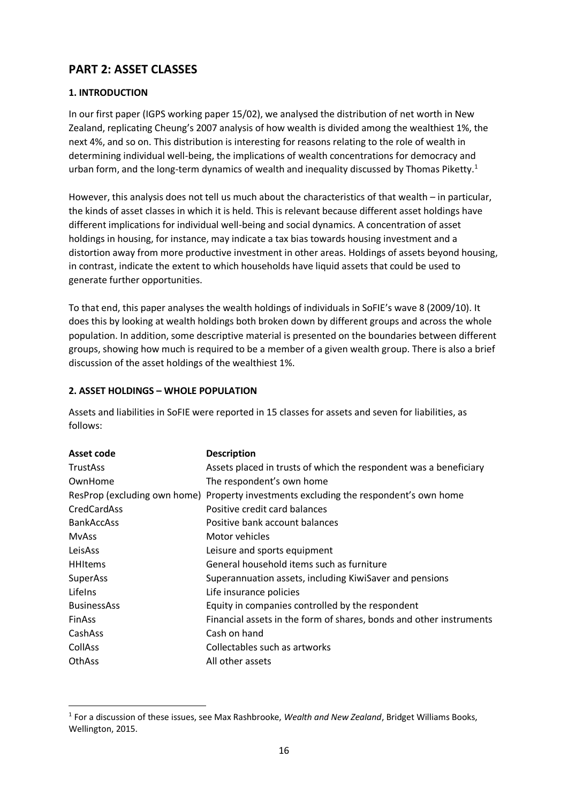# **PART 2: ASSET CLASSES**

## **1. INTRODUCTION**

In our first paper (IGPS working paper 15/02), we analysed the distribution of net worth in New Zealand, replicating Cheung's 2007 analysis of how wealth is divided among the wealthiest 1%, the next 4%, and so on. This distribution is interesting for reasons relating to the role of wealth in determining individual well-being, the implications of wealth concentrations for democracy and urban form, and the long-term dynamics of wealth and inequality discussed by Thomas Piketty.<sup>1</sup>

However, this analysis does not tell us much about the characteristics of that wealth – in particular, the kinds of asset classes in which it is held. This is relevant because different asset holdings have different implications for individual well-being and social dynamics. A concentration of asset holdings in housing, for instance, may indicate a tax bias towards housing investment and a distortion away from more productive investment in other areas. Holdings of assets beyond housing, in contrast, indicate the extent to which households have liquid assets that could be used to generate further opportunities.

To that end, this paper analyses the wealth holdings of individuals in SoFIE's wave 8 (2009/10). It does this by looking at wealth holdings both broken down by different groups and across the whole population. In addition, some descriptive material is presented on the boundaries between different groups, showing how much is required to be a member of a given wealth group. There is also a brief discussion of the asset holdings of the wealthiest 1%.

## **2. ASSET HOLDINGS – WHOLE POPULATION**

1

Assets and liabilities in SoFIE were reported in 15 classes for assets and seven for liabilities, as follows:

| Asset code         | <b>Description</b>                                                                    |
|--------------------|---------------------------------------------------------------------------------------|
| <b>TrustAss</b>    | Assets placed in trusts of which the respondent was a beneficiary                     |
| OwnHome            | The respondent's own home                                                             |
|                    | ResProp (excluding own home) Property investments excluding the respondent's own home |
| CredCardAss        | Positive credit card balances                                                         |
| <b>BankAccAss</b>  | Positive bank account balances                                                        |
| <b>MvAss</b>       | Motor vehicles                                                                        |
| LeisAss            | Leisure and sports equipment                                                          |
| <b>HHItems</b>     | General household items such as furniture                                             |
| SuperAss           | Superannuation assets, including KiwiSaver and pensions                               |
| Lifelns            | Life insurance policies                                                               |
| <b>BusinessAss</b> | Equity in companies controlled by the respondent                                      |
| <b>FinAss</b>      | Financial assets in the form of shares, bonds and other instruments                   |
| CashAss            | Cash on hand                                                                          |
| <b>CollAss</b>     | Collectables such as artworks                                                         |
| <b>OthAss</b>      | All other assets                                                                      |

<sup>1</sup> For a discussion of these issues, see Max Rashbrooke, *Wealth and New Zealand*, Bridget Williams Books, Wellington, 2015.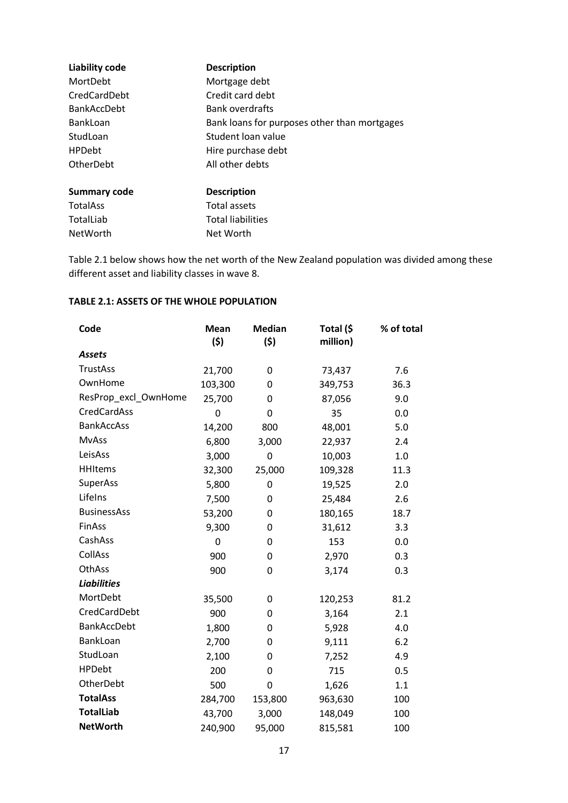| <b>Liability code</b> | <b>Description</b>                           |
|-----------------------|----------------------------------------------|
| MortDebt              | Mortgage debt                                |
| CredCardDebt          | Credit card debt                             |
| <b>BankAccDebt</b>    | <b>Bank overdrafts</b>                       |
| BankLoan              | Bank loans for purposes other than mortgages |
| StudLoan              | Student loan value                           |
| <b>HPDebt</b>         | Hire purchase debt                           |
| OtherDebt             | All other debts                              |
| <b>Summary code</b>   | <b>Description</b>                           |
| <b>TotalAss</b>       | Total assets                                 |
| TotalLiab             | <b>Total liabilities</b>                     |

Table 2.1 below shows how the net worth of the New Zealand population was divided among these different asset and liability classes in wave 8.

## **TABLE 2.1: ASSETS OF THE WHOLE POPULATION**

NetWorth Net Worth

| Code                 | <b>Mean</b><br>(5) | <b>Median</b><br>(\$) | Total (\$<br>million) | % of total |
|----------------------|--------------------|-----------------------|-----------------------|------------|
| <b>Assets</b>        |                    |                       |                       |            |
| <b>TrustAss</b>      | 21,700             | 0                     | 73,437                | 7.6        |
| OwnHome              | 103,300            | 0                     | 349,753               | 36.3       |
| ResProp_excl_OwnHome | 25,700             | 0                     | 87,056                | 9.0        |
| <b>CredCardAss</b>   | 0                  | 0                     | 35                    | 0.0        |
| <b>BankAccAss</b>    | 14,200             | 800                   | 48,001                | 5.0        |
| <b>MvAss</b>         | 6,800              | 3,000                 | 22,937                | 2.4        |
| LeisAss              | 3,000              | $\mathbf 0$           | 10,003                | 1.0        |
| <b>HHItems</b>       | 32,300             | 25,000                | 109,328               | 11.3       |
| SuperAss             | 5,800              | 0                     | 19,525                | 2.0        |
| Lifelns              | 7,500              | 0                     | 25,484                | 2.6        |
| <b>BusinessAss</b>   | 53,200             | 0                     | 180,165               | 18.7       |
| <b>FinAss</b>        | 9,300              | 0                     | 31,612                | 3.3        |
| CashAss              | $\mathbf 0$        | 0                     | 153                   | 0.0        |
| <b>CollAss</b>       | 900                | 0                     | 2,970                 | 0.3        |
| OthAss               | 900                | 0                     | 3,174                 | 0.3        |
| <b>Liabilities</b>   |                    |                       |                       |            |
| MortDebt             | 35,500             | 0                     | 120,253               | 81.2       |
| CredCardDebt         | 900                | 0                     | 3,164                 | 2.1        |
| <b>BankAccDebt</b>   | 1,800              | 0                     | 5,928                 | 4.0        |
| BankLoan             | 2,700              | 0                     | 9,111                 | 6.2        |
| StudLoan             | 2,100              | 0                     | 7,252                 | 4.9        |
| <b>HPDebt</b>        | 200                | 0                     | 715                   | 0.5        |
| OtherDebt            | 500                | 0                     | 1,626                 | 1.1        |
| <b>TotalAss</b>      | 284,700            | 153,800               | 963,630               | 100        |
| <b>TotalLiab</b>     | 43,700             | 3,000                 | 148,049               | 100        |
| <b>NetWorth</b>      | 240,900            | 95,000                | 815,581               | 100        |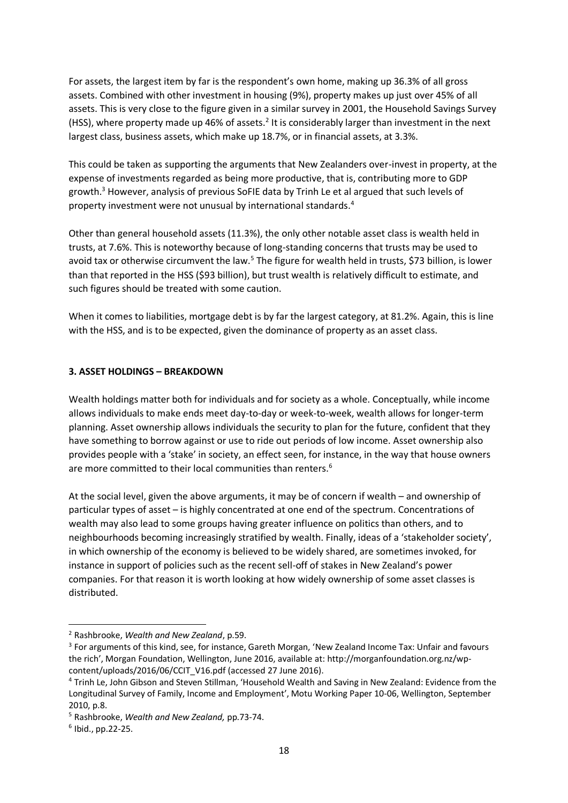For assets, the largest item by far is the respondent's own home, making up 36.3% of all gross assets. Combined with other investment in housing (9%), property makes up just over 45% of all assets. This is very close to the figure given in a similar survey in 2001, the Household Savings Survey (HSS), where property made up 46% of assets.<sup>2</sup> It is considerably larger than investment in the next largest class, business assets, which make up 18.7%, or in financial assets, at 3.3%.

This could be taken as supporting the arguments that New Zealanders over-invest in property, at the expense of investments regarded as being more productive, that is, contributing more to GDP growth.<sup>3</sup> However, analysis of previous SoFIE data by Trinh Le et al argued that such levels of property investment were not unusual by international standards. 4

Other than general household assets (11.3%), the only other notable asset class is wealth held in trusts, at 7.6%. This is noteworthy because of long-standing concerns that trusts may be used to avoid tax or otherwise circumvent the law.<sup>5</sup> The figure for wealth held in trusts, \$73 billion, is lower than that reported in the HSS (\$93 billion), but trust wealth is relatively difficult to estimate, and such figures should be treated with some caution.

When it comes to liabilities, mortgage debt is by far the largest category, at 81.2%. Again, this is line with the HSS, and is to be expected, given the dominance of property as an asset class.

## **3. ASSET HOLDINGS – BREAKDOWN**

Wealth holdings matter both for individuals and for society as a whole. Conceptually, while income allows individuals to make ends meet day-to-day or week-to-week, wealth allows for longer-term planning. Asset ownership allows individuals the security to plan for the future, confident that they have something to borrow against or use to ride out periods of low income. Asset ownership also provides people with a 'stake' in society, an effect seen, for instance, in the way that house owners are more committed to their local communities than renters.<sup>6</sup>

At the social level, given the above arguments, it may be of concern if wealth – and ownership of particular types of asset – is highly concentrated at one end of the spectrum. Concentrations of wealth may also lead to some groups having greater influence on politics than others, and to neighbourhoods becoming increasingly stratified by wealth. Finally, ideas of a 'stakeholder society', in which ownership of the economy is believed to be widely shared, are sometimes invoked, for instance in support of policies such as the recent sell-off of stakes in New Zealand's power companies. For that reason it is worth looking at how widely ownership of some asset classes is distributed.

1

<sup>2</sup> Rashbrooke, *Wealth and New Zealand*, p.59.

<sup>&</sup>lt;sup>3</sup> For arguments of this kind, see, for instance, Gareth Morgan, 'New Zealand Income Tax: Unfair and favours the rich', Morgan Foundation, Wellington, June 2016, available at: http://morganfoundation.org.nz/wpcontent/uploads/2016/06/CCIT\_V16.pdf (accessed 27 June 2016).

<sup>4</sup> Trinh Le, John Gibson and Steven Stillman, 'Household Wealth and Saving in New Zealand: Evidence from the Longitudinal Survey of Family, Income and Employment', Motu Working Paper 10-06, Wellington, September 2010, p.8.

<sup>5</sup> Rashbrooke, *Wealth and New Zealand,* pp.73-74.

<sup>6</sup> Ibid., pp.22-25.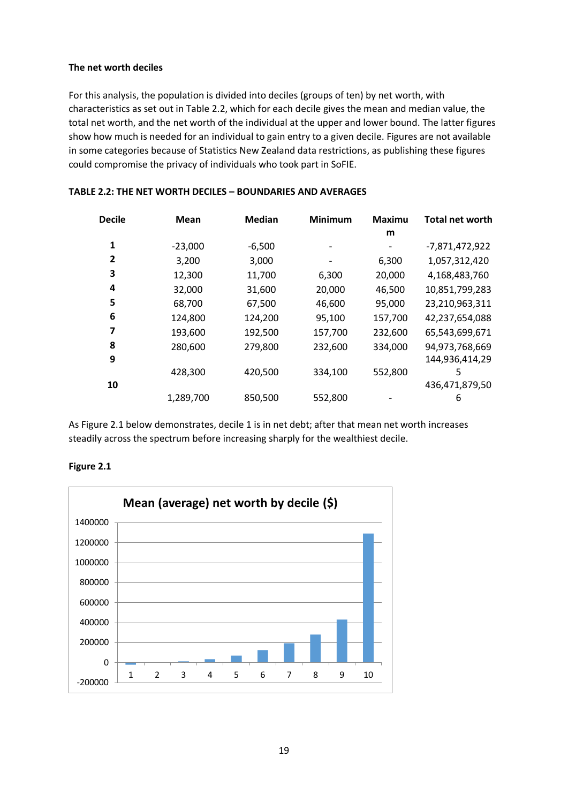## **The net worth deciles**

For this analysis, the population is divided into deciles (groups of ten) by net worth, with characteristics as set out in Table 2.2, which for each decile gives the mean and median value, the total net worth, and the net worth of the individual at the upper and lower bound. The latter figures show how much is needed for an individual to gain entry to a given decile. Figures are not available in some categories because of Statistics New Zealand data restrictions, as publishing these figures could compromise the privacy of individuals who took part in SoFIE.

| <b>Decile</b> | Mean      | <b>Median</b> | <b>Minimum</b> | <b>Maximu</b><br>m | <b>Total net worth</b> |
|---------------|-----------|---------------|----------------|--------------------|------------------------|
| 1             | $-23,000$ | $-6,500$      |                |                    | $-7,871,472,922$       |
| 2             | 3,200     | 3,000         |                | 6,300              | 1,057,312,420          |
| 3             | 12,300    | 11,700        | 6,300          | 20,000             | 4,168,483,760          |
| 4             | 32,000    | 31,600        | 20,000         | 46,500             | 10,851,799,283         |
| 5             | 68,700    | 67,500        | 46,600         | 95,000             | 23,210,963,311         |
| 6             | 124,800   | 124,200       | 95,100         | 157,700            | 42,237,654,088         |
| 7             | 193,600   | 192,500       | 157,700        | 232,600            | 65,543,699,671         |
| 8             | 280,600   | 279,800       | 232,600        | 334,000            | 94,973,768,669         |
| 9             |           |               |                |                    | 144,936,414,29         |
|               | 428,300   | 420,500       | 334,100        | 552,800            | 5                      |
| 10            |           |               |                |                    | 436,471,879,50         |
|               | 1,289,700 | 850,500       | 552,800        |                    | 6                      |

#### **TABLE 2.2: THE NET WORTH DECILES – BOUNDARIES AND AVERAGES**

As Figure 2.1 below demonstrates, decile 1 is in net debt; after that mean net worth increases steadily across the spectrum before increasing sharply for the wealthiest decile.



## **Figure 2.1**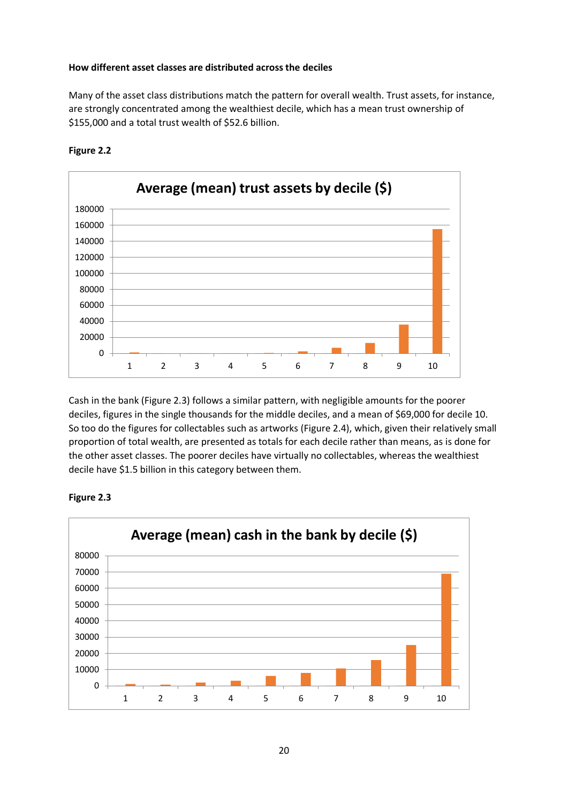#### **How different asset classes are distributed across the deciles**

Many of the asset class distributions match the pattern for overall wealth. Trust assets, for instance, are strongly concentrated among the wealthiest decile, which has a mean trust ownership of \$155,000 and a total trust wealth of \$52.6 billion.



## **Figure 2.2**

Cash in the bank (Figure 2.3) follows a similar pattern, with negligible amounts for the poorer deciles, figures in the single thousands for the middle deciles, and a mean of \$69,000 for decile 10. So too do the figures for collectables such as artworks (Figure 2.4), which, given their relatively small proportion of total wealth, are presented as totals for each decile rather than means, as is done for the other asset classes. The poorer deciles have virtually no collectables, whereas the wealthiest decile have \$1.5 billion in this category between them.



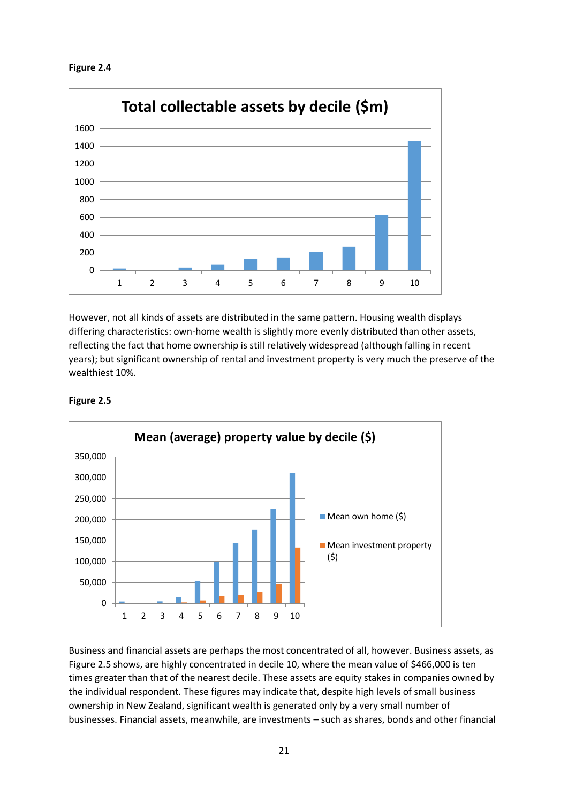



However, not all kinds of assets are distributed in the same pattern. Housing wealth displays differing characteristics: own-home wealth is slightly more evenly distributed than other assets, reflecting the fact that home ownership is still relatively widespread (although falling in recent years); but significant ownership of rental and investment property is very much the preserve of the wealthiest 10%.

![](_page_20_Figure_3.jpeg)

**Figure 2.5**

Business and financial assets are perhaps the most concentrated of all, however. Business assets, as Figure 2.5 shows, are highly concentrated in decile 10, where the mean value of \$466,000 is ten times greater than that of the nearest decile. These assets are equity stakes in companies owned by the individual respondent. These figures may indicate that, despite high levels of small business ownership in New Zealand, significant wealth is generated only by a very small number of businesses. Financial assets, meanwhile, are investments – such as shares, bonds and other financial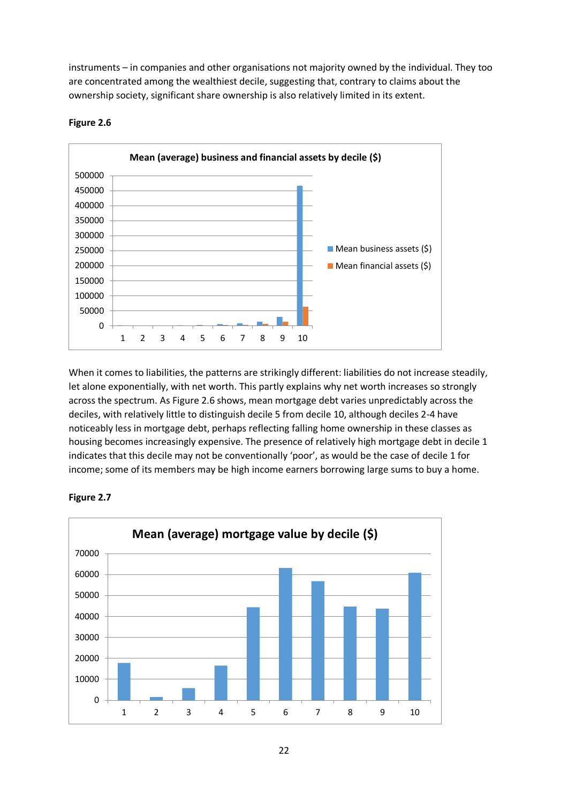instruments – in companies and other organisations not majority owned by the individual. They too are concentrated among the wealthiest decile, suggesting that, contrary to claims about the ownership society, significant share ownership is also relatively limited in its extent.

![](_page_21_Figure_1.jpeg)

#### **Figure 2.6**

When it comes to liabilities, the patterns are strikingly different: liabilities do not increase steadily, let alone exponentially, with net worth. This partly explains why net worth increases so strongly across the spectrum. As Figure 2.6 shows, mean mortgage debt varies unpredictably across the deciles, with relatively little to distinguish decile 5 from decile 10, although deciles 2-4 have noticeably less in mortgage debt, perhaps reflecting falling home ownership in these classes as housing becomes increasingly expensive. The presence of relatively high mortgage debt in decile 1 indicates that this decile may not be conventionally 'poor', as would be the case of decile 1 for income; some of its members may be high income earners borrowing large sums to buy a home.

![](_page_21_Figure_4.jpeg)

![](_page_21_Figure_5.jpeg)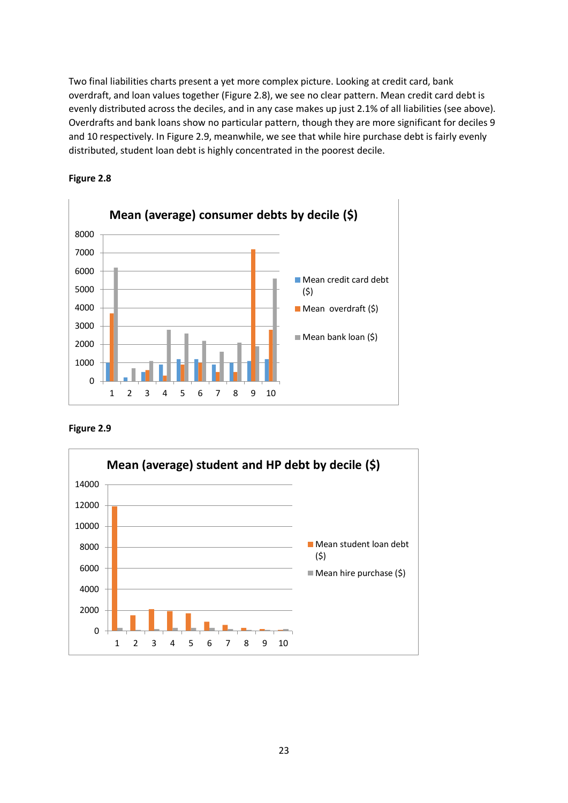Two final liabilities charts present a yet more complex picture. Looking at credit card, bank overdraft, and loan values together (Figure 2.8), we see no clear pattern. Mean credit card debt is evenly distributed across the deciles, and in any case makes up just 2.1% of all liabilities (see above). Overdrafts and bank loans show no particular pattern, though they are more significant for deciles 9 and 10 respectively. In Figure 2.9, meanwhile, we see that while hire purchase debt is fairly evenly distributed, student loan debt is highly concentrated in the poorest decile.

![](_page_22_Figure_1.jpeg)

![](_page_22_Figure_2.jpeg)

![](_page_22_Figure_3.jpeg)

![](_page_22_Figure_4.jpeg)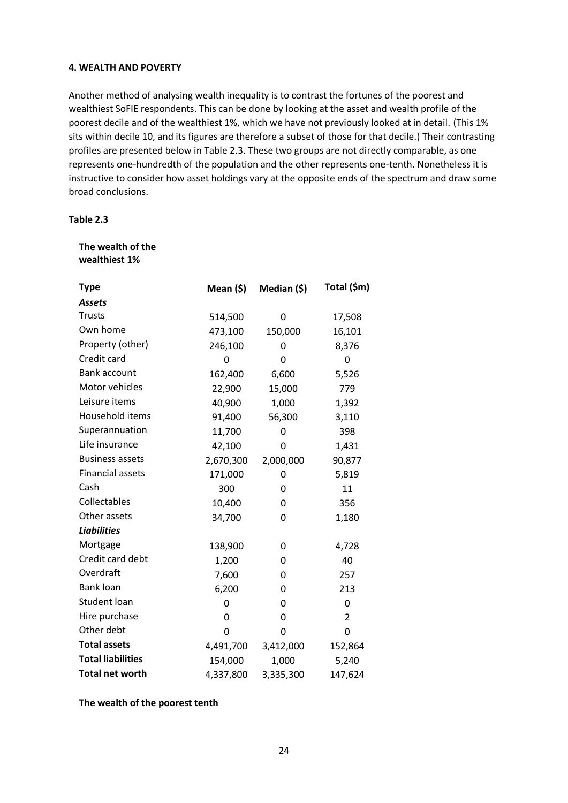## **4. WEALTH AND POVERTY**

Another method of analysing wealth inequality is to contrast the fortunes of the poorest and wealthiest SoFIE respondents. This can be done by looking at the asset and wealth profile of the poorest decile and of the wealthiest 1%, which we have not previously looked at in detail. (This 1% sits within decile 10, and its figures are therefore a subset of those for that decile.) Their contrasting profiles are presented below in Table 2.3. These two groups are not directly comparable, as one represents one-hundredth of the population and the other represents one-tenth. Nonetheless it is instructive to consider how asset holdings vary at the opposite ends of the spectrum and draw some broad conclusions.

## **Table 2.3**

#### **The wealth of the wealthiest 1%**

| <b>Type</b>              | Mean (\$) | Median (\$) | Total (\$m) |
|--------------------------|-----------|-------------|-------------|
| <b>Assets</b>            |           |             |             |
| <b>Trusts</b>            | 514,500   | 0           | 17,508      |
| Own home                 | 473,100   | 150,000     | 16,101      |
| Property (other)         | 246,100   | 0           | 8,376       |
| Credit card              | 0         | 0           | 0           |
| <b>Bank account</b>      | 162,400   | 6,600       | 5,526       |
| Motor vehicles           | 22,900    | 15,000      | 779         |
| Leisure items            | 40,900    | 1,000       | 1,392       |
| Household items          | 91,400    | 56,300      | 3,110       |
| Superannuation           | 11,700    | 0           | 398         |
| Life insurance           | 42,100    | 0           | 1,431       |
| <b>Business assets</b>   | 2,670,300 | 2,000,000   | 90,877      |
| <b>Financial assets</b>  | 171,000   | 0           | 5,819       |
| Cash                     | 300       | 0           | 11          |
| Collectables             | 10,400    | 0           | 356         |
| Other assets             | 34,700    | 0           | 1,180       |
| <b>Liabilities</b>       |           |             |             |
| Mortgage                 | 138,900   | 0           | 4,728       |
| Credit card debt         | 1,200     | 0           | 40          |
| Overdraft                | 7,600     | 0           | 257         |
| <b>Bank loan</b>         | 6,200     | 0           | 213         |
| <b>Student loan</b>      | 0         | 0           | 0           |
| Hire purchase            | 0         | 0           | 2           |
| Other debt               | 0         | 0           | $\mathbf 0$ |
| <b>Total assets</b>      | 4,491,700 | 3,412,000   | 152,864     |
| <b>Total liabilities</b> | 154,000   | 1,000       | 5,240       |
| <b>Total net worth</b>   | 4,337,800 | 3,335,300   | 147,624     |

#### **The wealth of the poorest tenth**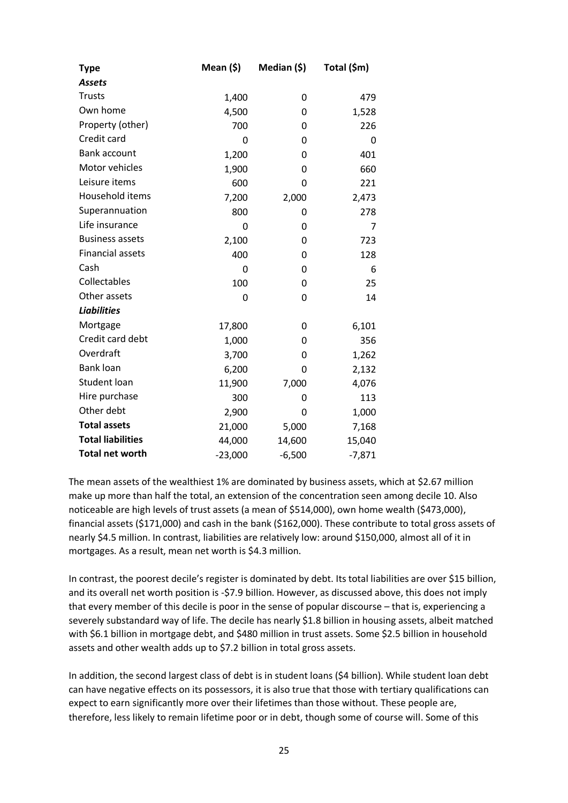| Type                     | Mean (\$) | Median (\$) | Total (\$m) |
|--------------------------|-----------|-------------|-------------|
| <b>Assets</b>            |           |             |             |
| <b>Trusts</b>            | 1,400     | 0           | 479         |
| Own home                 | 4,500     | 0           | 1,528       |
| Property (other)         | 700       | 0           | 226         |
| Credit card              | 0         | 0           | 0           |
| Bank account             | 1,200     | 0           | 401         |
| Motor vehicles           | 1,900     | 0           | 660         |
| Leisure items            | 600       | 0           | 221         |
| Household items          | 7,200     | 2,000       | 2,473       |
| Superannuation           | 800       | 0           | 278         |
| Life insurance           | 0         | 0           | 7           |
| <b>Business assets</b>   | 2,100     | 0           | 723         |
| <b>Financial assets</b>  | 400       | 0           | 128         |
| Cash                     | 0         | 0           | 6           |
| Collectables             | 100       | 0           | 25          |
| Other assets             | 0         | 0           | 14          |
| <b>Liabilities</b>       |           |             |             |
| Mortgage                 | 17,800    | 0           | 6,101       |
| Credit card debt         | 1,000     | 0           | 356         |
| Overdraft                | 3,700     | 0           | 1,262       |
| <b>Bank loan</b>         | 6,200     | 0           | 2,132       |
| <b>Student loan</b>      | 11,900    | 7,000       | 4,076       |
| Hire purchase            | 300       | 0           | 113         |
| Other debt               | 2,900     | 0           | 1,000       |
| <b>Total assets</b>      | 21,000    | 5,000       | 7,168       |
| <b>Total liabilities</b> | 44,000    | 14,600      | 15,040      |
| <b>Total net worth</b>   | $-23,000$ | $-6,500$    | $-7,871$    |

The mean assets of the wealthiest 1% are dominated by business assets, which at \$2.67 million make up more than half the total, an extension of the concentration seen among decile 10. Also noticeable are high levels of trust assets (a mean of \$514,000), own home wealth (\$473,000), financial assets (\$171,000) and cash in the bank (\$162,000). These contribute to total gross assets of nearly \$4.5 million. In contrast, liabilities are relatively low: around \$150,000, almost all of it in mortgages. As a result, mean net worth is \$4.3 million.

In contrast, the poorest decile's register is dominated by debt. Its total liabilities are over \$15 billion, and its overall net worth position is -\$7.9 billion. However, as discussed above, this does not imply that every member of this decile is poor in the sense of popular discourse – that is, experiencing a severely substandard way of life. The decile has nearly \$1.8 billion in housing assets, albeit matched with \$6.1 billion in mortgage debt, and \$480 million in trust assets. Some \$2.5 billion in household assets and other wealth adds up to \$7.2 billion in total gross assets.

In addition, the second largest class of debt is in student loans (\$4 billion). While student loan debt can have negative effects on its possessors, it is also true that those with tertiary qualifications can expect to earn significantly more over their lifetimes than those without. These people are, therefore, less likely to remain lifetime poor or in debt, though some of course will. Some of this